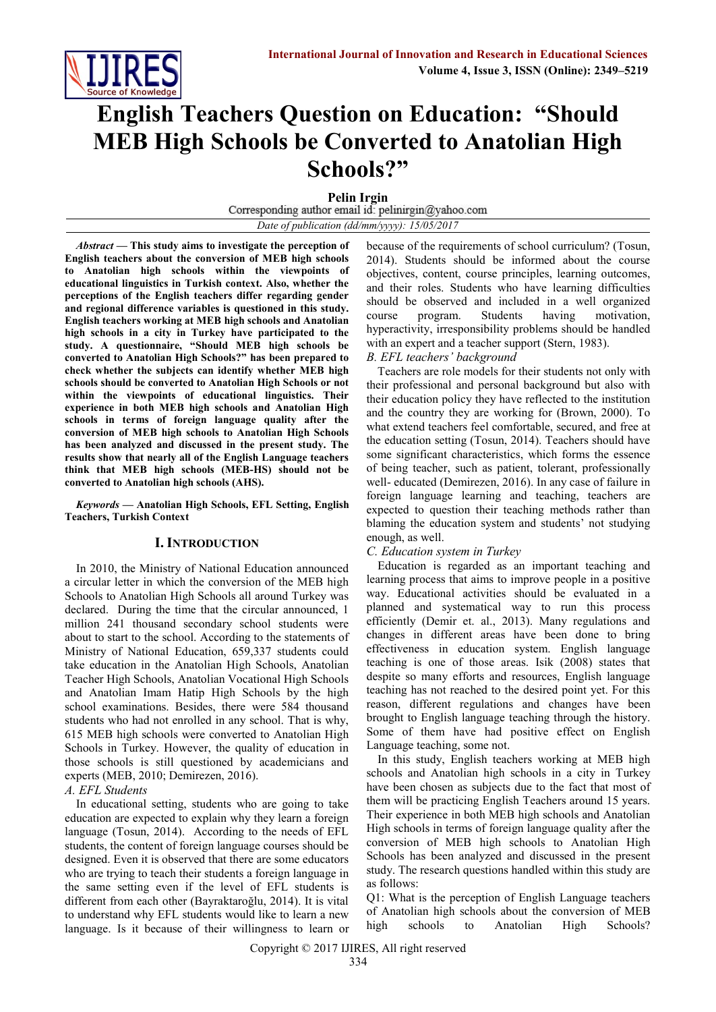

# **English Teachers Question on Education: "Should MEB High Schools be Converted to Anatolian High Schools?"**

**Pelin Irgin**<br>Corresponding author email id: pelinirgin@yahoo.com *Date of publication (dd/mm/yyyy): 15/05/2017*

*Abstract* **— This study aims to investigate the perception of English teachers about the conversion of MEB high schools to Anatolian high schools within the viewpoints of educational linguistics in Turkish context. Also, whether the perceptions of the English teachers differ regarding gender and regional difference variables is questioned in this study. English teachers working at MEB high schools and Anatolian high schools in a city in Turkey have participated to the study. A questionnaire, "Should MEB high schools be converted to Anatolian High Schools?" has been prepared to check whether the subjects can identify whether MEB high schools should be converted to Anatolian High Schools or not within the viewpoints of educational linguistics. Their experience in both MEB high schools and Anatolian High schools in terms of foreign language quality after the conversion of MEB high schools to Anatolian High Schools has been analyzed and discussed in the present study. The results show that nearly all of the English Language teachers** 

*Keywords* **— Anatolian High Schools, EFL Setting, English Teachers, Turkish Context**

**think that MEB high schools (MEB-HS) should not be** 

**converted to Anatolian high schools (AHS).**

# **I. INTRODUCTION**

In 2010, the Ministry of National Education announced a circular letter in which the conversion of the MEB high Schools to Anatolian High Schools all around Turkey was declared. During the time that the circular announced, 1 million 241 thousand secondary school students were about to start to the school. According to the statements of Ministry of National Education, 659,337 students could take education in the Anatolian High Schools, Anatolian Teacher High Schools, Anatolian Vocational High Schools and Anatolian Imam Hatip High Schools by the high school examinations. Besides, there were 584 thousand students who had not enrolled in any school. That is why, 615 MEB high schools were converted to Anatolian High Schools in Turkey. However, the quality of education in those schools is still questioned by academicians and experts (MEB, 2010; Demirezen, 2016).

*A. EFL Students*

In educational setting, students who are going to take education are expected to explain why they learn a foreign language (Tosun, 2014). According to the needs of EFL students, the content of foreign language courses should be designed. Even it is observed that there are some educators who are trying to teach their students a foreign language in the same setting even if the level of EFL students is different from each other (Bayraktaroğlu, 2014). It is vital to understand why EFL students would like to learn a new language. Is it because of their willingness to learn or

because of the requirements of school curriculum? (Tosun, 2014). Students should be informed about the course objectives, content, course principles, learning outcomes, and their roles. Students who have learning difficulties should be observed and included in a well organized course program. Students having motivation, hyperactivity, irresponsibility problems should be handled with an expert and a teacher support (Stern, 1983).

*B. EFL teachers' background*

Teachers are role models for their students not only with their professional and personal background but also with their education policy they have reflected to the institution and the country they are working for (Brown, 2000). To what extend teachers feel comfortable, secured, and free at the education setting (Tosun, 2014). Teachers should have some significant characteristics, which forms the essence of being teacher, such as patient, tolerant, professionally well- educated (Demirezen, 2016). In any case of failure in foreign language learning and teaching, teachers are expected to question their teaching methods rather than blaming the education system and students' not studying enough, as well.

# *C. Education system in Turkey*

Education is regarded as an important teaching and learning process that aims to improve people in a positive way. Educational activities should be evaluated in a planned and systematical way to run this process efficiently (Demir et. al., 2013). Many regulations and changes in different areas have been done to bring effectiveness in education system. English language teaching is one of those areas. Isik (2008) states that despite so many efforts and resources, English language teaching has not reached to the desired point yet. For this reason, different regulations and changes have been brought to English language teaching through the history. Some of them have had positive effect on English Language teaching, some not.

In this study, English teachers working at MEB high schools and Anatolian high schools in a city in Turkey have been chosen as subjects due to the fact that most of them will be practicing English Teachers around 15 years. Their experience in both MEB high schools and Anatolian High schools in terms of foreign language quality after the conversion of MEB high schools to Anatolian High Schools has been analyzed and discussed in the present study. The research questions handled within this study are as follows:

Q1: What is the perception of English Language teachers of Anatolian high schools about the conversion of MEB high schools to Anatolian High Schools?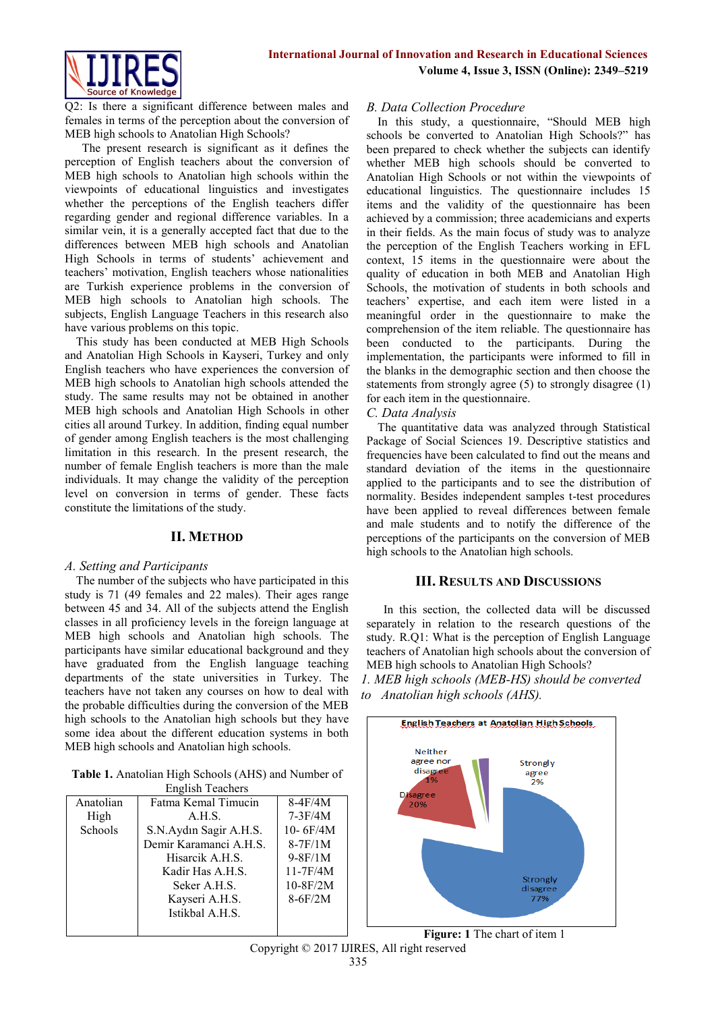

Q2: Is there a significant difference between males and females in terms of the perception about the conversion of MEB high schools to Anatolian High Schools?

The present research is significant as it defines the perception of English teachers about the conversion of MEB high schools to Anatolian high schools within the viewpoints of educational linguistics and investigates whether the perceptions of the English teachers differ regarding gender and regional difference variables. In a similar vein, it is a generally accepted fact that due to the differences between MEB high schools and Anatolian High Schools in terms of students' achievement and teachers' motivation, English teachers whose nationalities are Turkish experience problems in the conversion of MEB high schools to Anatolian high schools. The subjects, English Language Teachers in this research also have various problems on this topic.

This study has been conducted at MEB High Schools and Anatolian High Schools in Kayseri, Turkey and only English teachers who have experiences the conversion of MEB high schools to Anatolian high schools attended the study. The same results may not be obtained in another MEB high schools and Anatolian High Schools in other cities all around Turkey. In addition, finding equal number of gender among English teachers is the most challenging limitation in this research. In the present research, the number of female English teachers is more than the male individuals. It may change the validity of the perception level on conversion in terms of gender. These facts constitute the limitations of the study.

# **II. METHOD**

### *A. Setting and Participants*

The number of the subjects who have participated in this study is 71 (49 females and 22 males). Their ages range between 45 and 34. All of the subjects attend the English classes in all proficiency levels in the foreign language at MEB high schools and Anatolian high schools. The participants have similar educational background and they have graduated from the English language teaching departments of the state universities in Turkey. The teachers have not taken any courses on how to deal with the probable difficulties during the conversion of the MEB high schools to the Anatolian high schools but they have some idea about the different education systems in both MEB high schools and Anatolian high schools.

**Table 1.** Anatolian High Schools (AHS) and Number of

| <b>English Teachers</b> |                        |              |  |  |
|-------------------------|------------------------|--------------|--|--|
| Anatolian               | Fatma Kemal Timucin    | $8-4F/4M$    |  |  |
| High                    | A.H.S.                 | $7-3F/4M$    |  |  |
| Schools                 | S.N.Aydın Sagir A.H.S. | $10 - 6F/4M$ |  |  |
|                         | Demir Karamanci A.H.S. | $8-7F/1M$    |  |  |
|                         | Hisarcik A.H.S.        | $9-8F/1M$    |  |  |
|                         | Kadir Has A.H.S.       | $11-7F/4M$   |  |  |
|                         | Seker A.H.S.           | $10-8F/2M$   |  |  |
|                         | Kayseri A.H.S.         | $8-6F/2M$    |  |  |
|                         | Istikbal A.H.S.        |              |  |  |
|                         |                        |              |  |  |

### *B. Data Collection Procedure*

In this study, a questionnaire, "Should MEB high schools be converted to Anatolian High Schools?" has been prepared to check whether the subjects can identify whether MEB high schools should be converted to Anatolian High Schools or not within the viewpoints of educational linguistics. The questionnaire includes 15 items and the validity of the questionnaire has been achieved by a commission; three academicians and experts in their fields. As the main focus of study was to analyze the perception of the English Teachers working in EFL context, 15 items in the questionnaire were about the quality of education in both MEB and Anatolian High Schools, the motivation of students in both schools and teachers' expertise, and each item were listed in a meaningful order in the questionnaire to make the comprehension of the item reliable. The questionnaire has been conducted to the participants. During the implementation, the participants were informed to fill in the blanks in the demographic section and then choose the statements from strongly agree (5) to strongly disagree (1) for each item in the questionnaire.

# *C. Data Analysis*

The quantitative data was analyzed through Statistical Package of Social Sciences 19. Descriptive statistics and frequencies have been calculated to find out the means and standard deviation of the items in the questionnaire applied to the participants and to see the distribution of normality. Besides independent samples t-test procedures have been applied to reveal differences between female and male students and to notify the difference of the perceptions of the participants on the conversion of MEB high schools to the Anatolian high schools.

### **III. RESULTS AND DISCUSSIONS**

In this section, the collected data will be discussed separately in relation to the research questions of the study. R.Q1: What is the perception of English Language teachers of Anatolian high schools about the conversion of MEB high schools to Anatolian High Schools?

*1. MEB high schools (MEB-HS) should be converted to Anatolian high schools (AHS).*



**Figure: 1** The chart of item 1

Copyright © 2017 IJIRES, All right reserved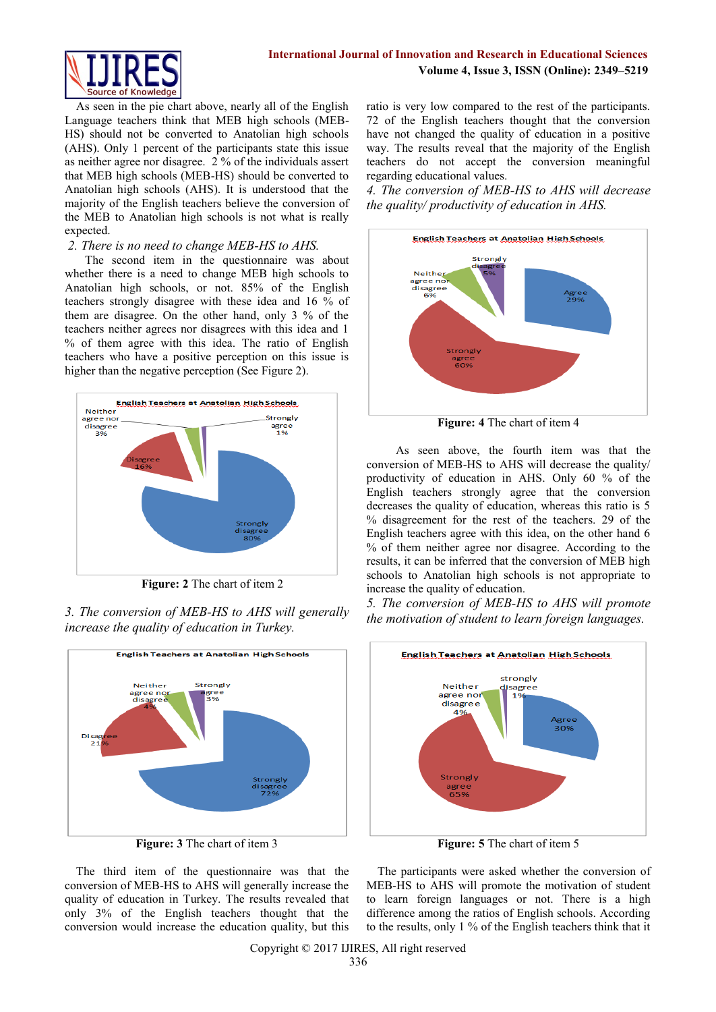As seen in the pie chart above, nearly all of the English Language teachers think that MEB high schools (MEB-HS) should not be converted to Anatolian high schools (AHS). Only 1 percent of the participants state this issue as neither agree nor disagree. 2 % of the individuals assert that MEB high schools (MEB-HS) should be converted to Anatolian high schools (AHS). It is understood that the majority of the English teachers believe the conversion of the MEB to Anatolian high schools is not what is really expected.

# *2. There is no need to change MEB-HS to AHS.*

 The second item in the questionnaire was about whether there is a need to change MEB high schools to Anatolian high schools, or not. 85% of the English teachers strongly disagree with these idea and 16 % of them are disagree. On the other hand, only 3 % of the teachers neither agrees nor disagrees with this idea and 1 % of them agree with this idea. The ratio of English teachers who have a positive perception on this issue is higher than the negative perception (See Figure 2).



**Figure: 2** The chart of item 2





**Figure: 3** The chart of item 3

The third item of the questionnaire was that the conversion of MEB-HS to AHS will generally increase the quality of education in Turkey. The results revealed that only 3% of the English teachers thought that the conversion would increase the education quality, but this ratio is very low compared to the rest of the participants. 72 of the English teachers thought that the conversion have not changed the quality of education in a positive way. The results reveal that the majority of the English teachers do not accept the conversion meaningful regarding educational values.

*4. The conversion of MEB-HS to AHS will decrease the quality/ productivity of education in AHS.*



**Figure: 4** The chart of item 4

 As seen above, the fourth item was that the conversion of MEB-HS to AHS will decrease the quality/ productivity of education in AHS. Only 60 % of the English teachers strongly agree that the conversion decreases the quality of education, whereas this ratio is 5 % disagreement for the rest of the teachers. 29 of the English teachers agree with this idea, on the other hand 6 % of them neither agree nor disagree. According to the results, it can be inferred that the conversion of MEB high schools to Anatolian high schools is not appropriate to increase the quality of education.

*5. The conversion of MEB-HS to AHS will promote the motivation of student to learn foreign languages.*



**Figure: 5** The chart of item 5

The participants were asked whether the conversion of MEB-HS to AHS will promote the motivation of student to learn foreign languages or not. There is a high difference among the ratios of English schools. According to the results, only 1 % of the English teachers think that it

Copyright © 2017 IJIRES, All right reserved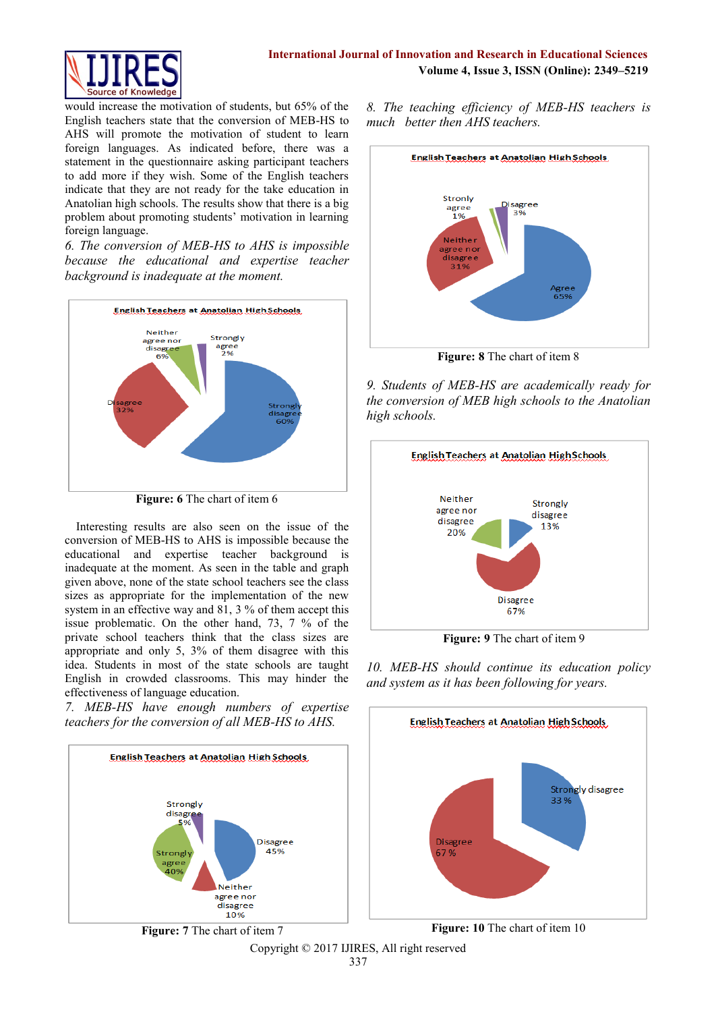

would increase the motivation of students, but 65% of the English teachers state that the conversion of MEB-HS to AHS will promote the motivation of student to learn foreign languages. As indicated before, there was a statement in the questionnaire asking participant teachers to add more if they wish. Some of the English teachers indicate that they are not ready for the take education in Anatolian high schools. The results show that there is a big problem about promoting students' motivation in learning foreign language.

*6. The conversion of MEB-HS to AHS is impossible because the educational and expertise teacher background is inadequate at the moment.*



**Figure: 6** The chart of item 6

Interesting results are also seen on the issue of the conversion of MEB-HS to AHS is impossible because the educational and expertise teacher background is inadequate at the moment. As seen in the table and graph given above, none of the state school teachers see the class sizes as appropriate for the implementation of the new system in an effective way and 81, 3 % of them accept this issue problematic. On the other hand, 73, 7 % of the private school teachers think that the class sizes are appropriate and only 5, 3% of them disagree with this idea. Students in most of the state schools are taught English in crowded classrooms. This may hinder the effectiveness of language education.

*7. MEB-HS have enough numbers of expertise teachers for the conversion of all MEB-HS to AHS.*





**Figure: 8** The chart of item 8

*9. Students of MEB-HS are academically ready for the conversion of MEB high schools to the Anatolian high schools.*



**Figure: 9** The chart of item 9

*10. MEB-HS should continue its education policy and system as it has been following for years.*



Copyright © 2017 IJIRES, All right reserved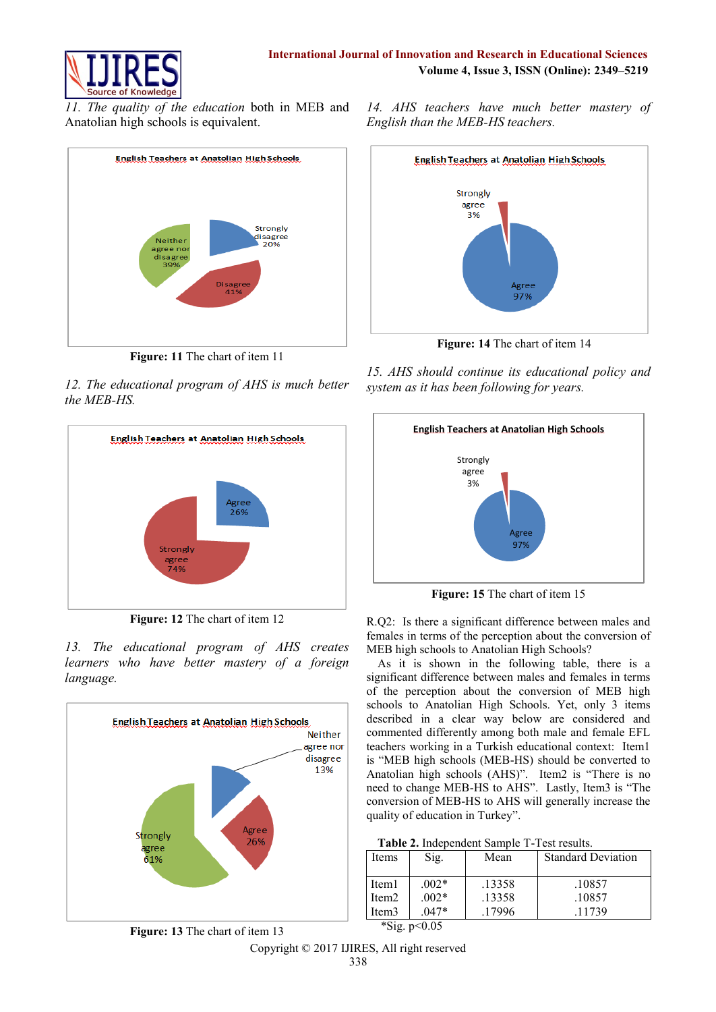

*11. The quality of the education* both in MEB and Anatolian high schools is equivalent.



**Figure: 11** The chart of item 11

*12. The educational program of AHS is much better the MEB-HS.*



**Figure: 12** The chart of item 12

*13. The educational program of AHS creates learners who have better mastery of a foreign language.*



*14. AHS teachers have much better mastery of English than the MEB-HS teachers.*



**Figure: 14** The chart of item 14

*15. AHS should continue its educational policy and system as it has been following for years.*



**Figure: 15** The chart of item 15

R.Q2:Is there a significant difference between males and females in terms of the perception about the conversion of MEB high schools to Anatolian High Schools?

As it is shown in the following table, there is a significant difference between males and females in terms of the perception about the conversion of MEB high schools to Anatolian High Schools. Yet, only 3 items described in a clear way below are considered and commented differently among both male and female EFL teachers working in a Turkish educational context: Item1 is "MEB high schools (MEB-HS) should be converted to Anatolian high schools (AHS)". Item2 is "There is no need to change MEB-HS to AHS". Lastly, Item3 is "The conversion of MEB-HS to AHS will generally increase the quality of education in Turkey".

| Table 2. Independent Sample T-Test results. |
|---------------------------------------------|
|---------------------------------------------|

| Items             | Sig.                 | Mean   | <b>Standard Deviation</b> |
|-------------------|----------------------|--------|---------------------------|
| Item <sub>1</sub> | $002*$               | .13358 | .10857                    |
| Item <sub>2</sub> | $002*$               | .13358 | .10857                    |
| Item3             | $047*$               | 17996  | .11739                    |
| $\sim$            | $\sim$ $\sim$ $\sim$ |        |                           |